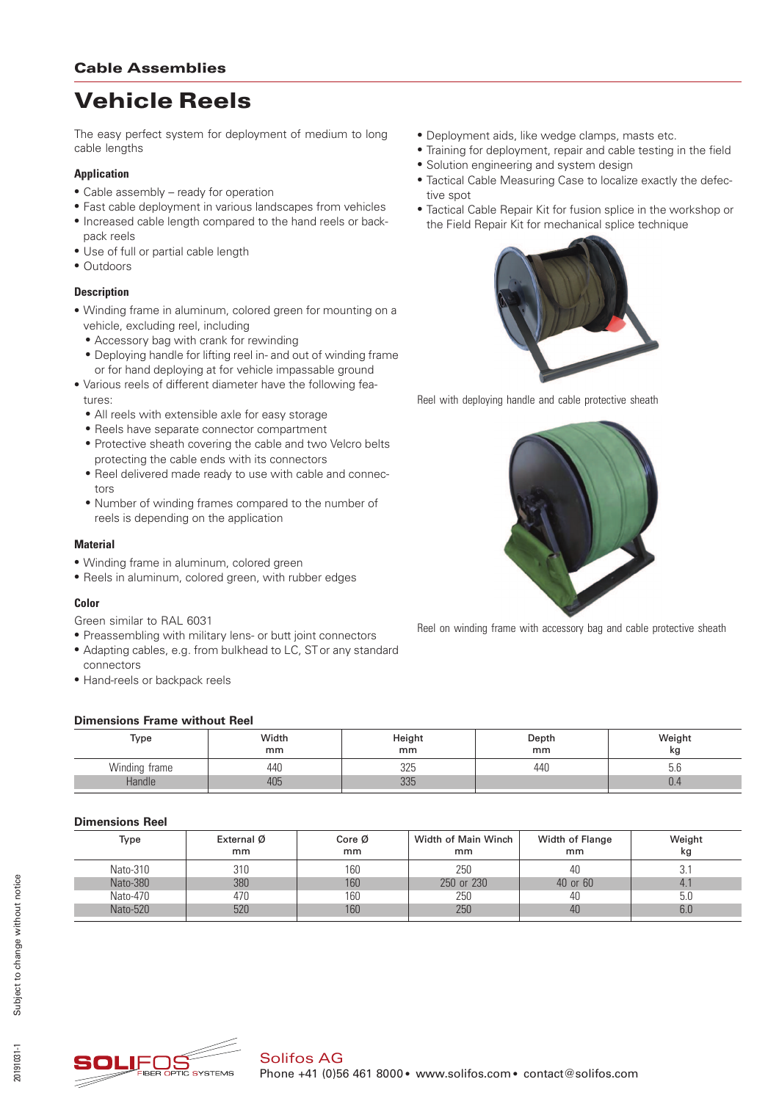# Vehicle Reels

The easy perfect system for deployment of medium to long cable lengths

#### **Application**

- Cable assembly ready for operation
- \* Fast cable deployment in various landscapes from vehicles
- \* Increased cable length compared to the hand reels or backpack reels
- Use of full or partial cable length
- Outdoors

#### **Description**

- \* Winding frame in aluminum, colored green for mounting on a vehicle, excluding reel, including
	- Accessory bag with crank for rewinding
	- \* Deploying handle for lifting reel in- and out of winding frame or for hand deploying at for vehicle impassable ground
- \* Various reels of different diameter have the following features:
	- All reels with extensible axle for easy storage
	- Reels have separate connector compartment
	- \* Protective sheath covering the cable and two Velcro belts protecting the cable ends with its connectors
	- \* Reel delivered made ready to use with cable and connectors
	- \* Number of winding frames compared to the number of reels is depending on the application

#### **Material**

- \* Winding frame in aluminum, colored green
- \* Reels in aluminum, colored green, with rubber edges

#### **Color**

Green similar to RAL 6031

- \* Preassembling with military lens- or butt joint connectors
- \* Adapting cables, e.g. from bulkhead to LC, ST or any standard connectors
- \* Hand-reels or backpack reels

#### **Dimensions Frame without Reel**

| Type          | Width<br>mm | Height<br>mm | Depth<br>mm | Weight<br>κg |  |  |  |  |
|---------------|-------------|--------------|-------------|--------------|--|--|--|--|
| Winding frame | 440         | 325          | 440         | ס.ס          |  |  |  |  |
| Handle        | 405         | つつに<br>JUU   |             | U.4          |  |  |  |  |

### **Dimensions Reel**

| Type     | External Ø<br>mm | Core $\emptyset$<br>mm | Width of Main Winch<br>mm | Width of Flange<br>mm | Weight<br>kg |  |
|----------|------------------|------------------------|---------------------------|-----------------------|--------------|--|
| Nato-310 | 310              | 160                    | 250                       | 40                    | 3.1          |  |
| Nato-380 | 380              | 160                    | 250 or 230                | 40 or 60              | $-4.1$       |  |
| Nato-470 | 470              | 160                    | 250                       | 40                    | 5.0          |  |
| Nato-520 | 520              | 160                    | 250                       | 40                    | 6.0          |  |





- \* Training for deployment, repair and cable testing in the field
- \* Solution engineering and system design
- \* Tactical Cable Measuring Case to localize exactly the defective spot
- Tactical Cable Repair Kit for fusion splice in the workshop or the Field Repair Kit for mechanical splice technique



Reel with deploying handle and cable protective sheath



Reel on winding frame with accessory bag and cable protective sheath